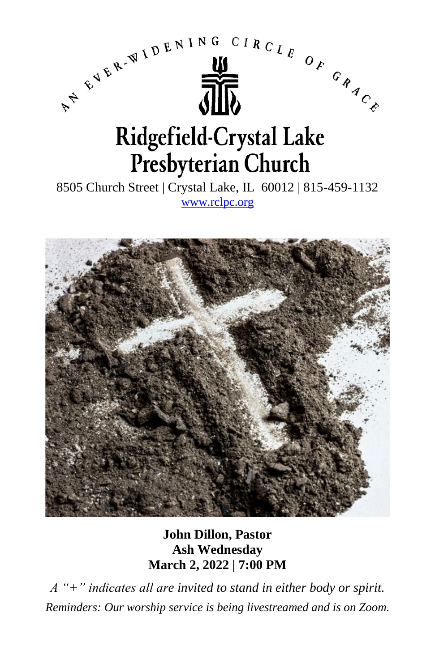



**John Dillon, Pastor Ash Wednesday March 2, 2022 | 7:00 PM**

*A "+" indicates all are invited to stand in either body or spirit. Reminders: Our worship service is being livestreamed and is on Zoom.*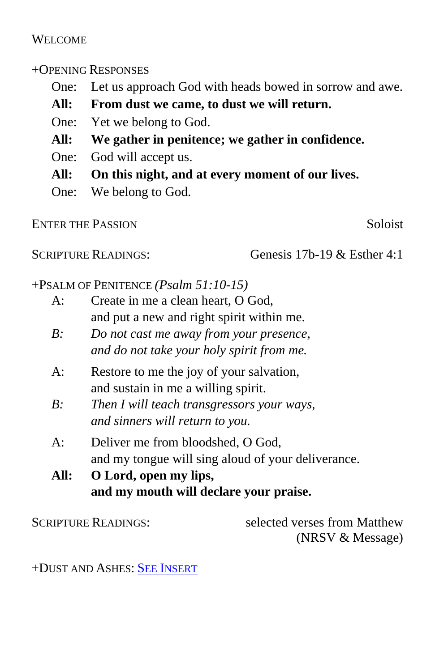# WELCOME.

# +OPENING RESPONSES

- One: Let us approach God with heads bowed in sorrow and awe.
- **All: From dust we came, to dust we will return.**
- One: Yet we belong to God.
- **All: We gather in penitence; we gather in confidence.**
- One: God will accept us.
- **All: On this night, and at every moment of our lives.**
- One: We belong to God.

ENTER THE PASSION Soloist

SCRIPTURE READINGS: Genesis 17b-19 & Esther 4:1

# +PSALM OF PENITENCE *(Psalm 51:10-15)*

- A: Create in me a clean heart, O God, and put a new and right spirit within me.
- *B: Do not cast me away from your presence, and do not take your holy spirit from me.*
- A: Restore to me the joy of your salvation, and sustain in me a willing spirit.
- *B: Then I will teach transgressors your ways, and sinners will return to you.*
- A: Deliver me from bloodshed, O God, and my tongue will sing aloud of your deliverance.
- **All: O Lord, open my lips, and my mouth will declare your praise.**

SCRIPTURE READINGS: selected verses from Matthew (NRSV & Message)

+DUST AND ASHES: SEE I[NSERT](http://rclpc.org/Bulletins/2022/SongInsertDustAndAshes.pdf)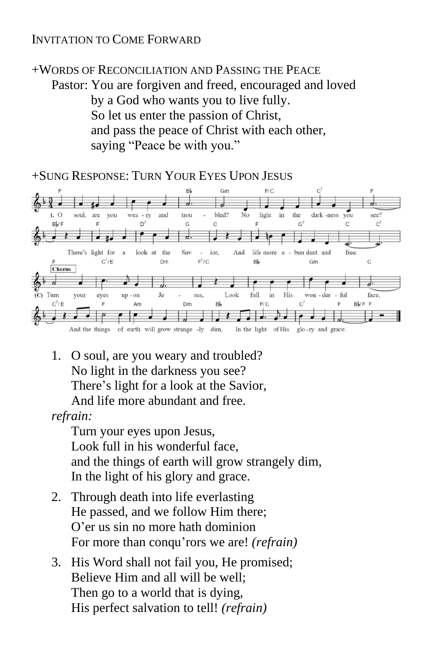# INVITATION TO COME FORWARD

+WORDS OF RECONCILIATION AND PASSING THE PEACE Pastor: You are forgiven and freed, encouraged and loved by a God who wants you to live fully. So let us enter the passion of Christ, and pass the peace of Christ with each other, saying "Peace be with you."

+SUNG RESPONSE: TURN YOUR EYES UPON JESUS



1. O soul, are you weary and troubled? No light in the darkness you see? There's light for a look at the Savior, And life more abundant and free.

*refrain:*

Turn your eyes upon Jesus, Look full in his wonderful face, and the things of earth will grow strangely dim, In the light of his glory and grace.

- 2. Through death into life everlasting He passed, and we follow Him there; O'er us sin no more hath dominion For more than conqu'rors we are! *(refrain)*
- 3. His Word shall not fail you, He promised; Believe Him and all will be well; Then go to a world that is dying, His perfect salvation to tell! *(refrain)*